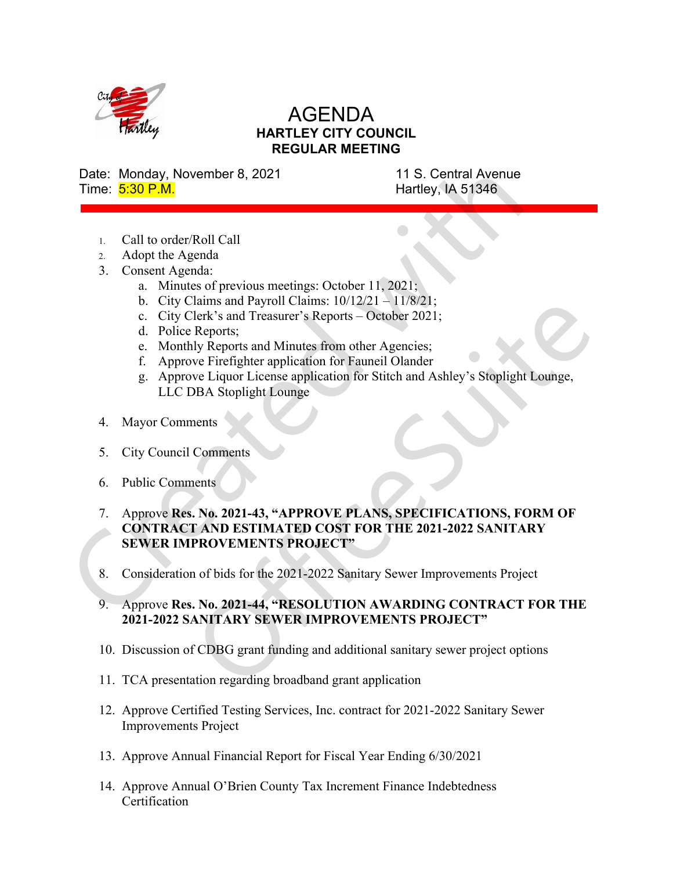

## AGENDA HARTLEY CITY COUNCIL REGULAR MEETING

Date: Monday, November 8, 2021 11 S. Central Avenue Time:  $\frac{5:30 \text{ P.M.}}{5:30 \text{ P.M.}}$ 

- 1. Call to order/Roll Call
- 2. Adopt the Agenda
- 3. Consent Agenda:
	- a. Minutes of previous meetings: October 11, 2021;
	- b. City Claims and Payroll Claims:  $10/12/21 11/8/21$ ;
	- c. City Clerk's and Treasurer's Reports October 2021;
	- d. Police Reports;
	- e. Monthly Reports and Minutes from other Agencies;
	- f. Approve Firefighter application for Fauneil Olander
	- g. Approve Liquor License application for Stitch and Ashley's Stoplight Lounge, LLC DBA Stoplight Lounge
- 4. Mayor Comments
- 5. City Council Comments
- 6. Public Comments
- 7. Approve Res. No. 2021-43, "APPROVE PLANS, SPECIFICATIONS, FORM OF CONTRACT AND ESTIMATED COST FOR THE 2021-2022 SANITARY SEWER IMPROVEMENTS PROJECT"
- 8. Consideration of bids for the 2021-2022 Sanitary Sewer Improvements Project
- 9. Approve Res. No. 2021-44, "RESOLUTION AWARDING CONTRACT FOR THE 2021-2022 SANITARY SEWER IMPROVEMENTS PROJECT"
- 10. Discussion of CDBG grant funding and additionalsanitary sewer project options
- 11. TCA presentation regarding broadband grant application
- 12. Approve Certified Testing Services, Inc. contract for 2021-2022 Sanitary Sewer Improvements Project
- 13. Approve Annual Financial Report for Fiscal Year Ending 6/30/2021
- 14. Approve Annual O'Brien County Tax Increment Finance Indebtedness **Certification**